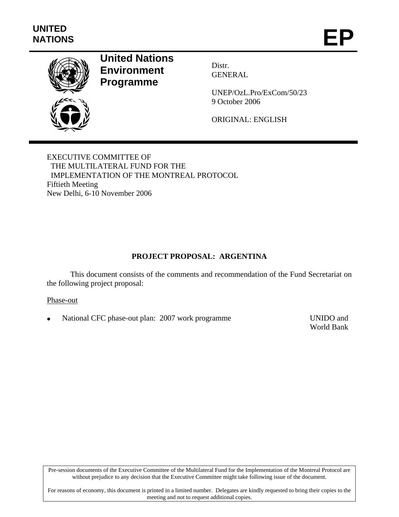

# **United Nations Environment Programme**

Distr. GENERAL

UNEP/OzL.Pro/ExCom/50/23 9 October 2006

ORIGINAL: ENGLISH

EXECUTIVE COMMITTEE OF THE MULTILATERAL FUND FOR THE IMPLEMENTATION OF THE MONTREAL PROTOCOL Fiftieth Meeting New Delhi, 6-10 November 2006

# **PROJECT PROPOSAL: ARGENTINA**

This document consists of the comments and recommendation of the Fund Secretariat on the following project proposal:

# Phase-out

• National CFC phase-out plan: 2007 work programme UNIDO and

World Bank

Pre-session documents of the Executive Committee of the Multilateral Fund for the Implementation of the Montreal Protocol are without prejudice to any decision that the Executive Committee might take following issue of the document.

For reasons of economy, this document is printed in a limited number. Delegates are kindly requested to bring their copies to the meeting and not to request additional copies.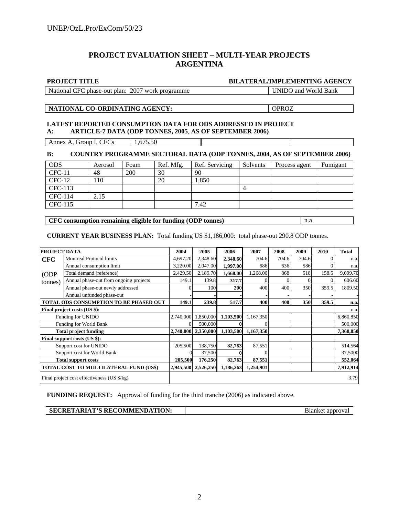# **PROJECT EVALUATION SHEET – MULTI-YEAR PROJECTS ARGENTINA**

#### **PROJECT TITLE BILATERAL/IMPLEMENTING AGENCY**

| National CFC phase-out plan: 2007 work programme |  |  |
|--------------------------------------------------|--|--|
|                                                  |  |  |

UNIDO and World Bank

#### **NATIONAL CO-ORDINATING AGENCY:** OPROZ

### **LATEST REPORTED CONSUMPTION DATA FOR ODS ADDRESSED IN PROJECT A: ARTICLE-7 DATA (ODP TONNES, 2005**, **AS OF SEPTEMBER 2006)**

Annex A, Group I, CFCs  $1,675.50$ 

**B: COUNTRY PROGRAMME SECTORAL DATA (ODP TONNES, 2004**, **AS OF SEPTEMBER 2006)** 

| <b>ODS</b> | Aerosol | Foam | Ref. Mfg. | Ref. Servicing | Solvents | Process agent | Fumigant |
|------------|---------|------|-----------|----------------|----------|---------------|----------|
| $CFC-11$   | 48      | 200  | 30        | 90             |          |               |          |
| $CFC-12$   | 110     |      | 20        | 1,850          |          |               |          |
| CFC-113    |         |      |           |                | 4        |               |          |
| CFC-114    | 2.15    |      |           |                |          |               |          |
| CFC-115    |         |      |           | 7.42           |          |               |          |

**CFC consumption remaining eligible for funding (ODP tonnes)** | n.a

**CURRENT YEAR BUSINESS PLAN:** Total funding US \$1,186,000: total phase-out 290.8 ODP tonnes.

| <b>PROJECT DATA</b>                    |                                             | 2004      | 2005                | 2006      | 2007      | 2008  | 2009  | 2010     | <b>Total</b> |
|----------------------------------------|---------------------------------------------|-----------|---------------------|-----------|-----------|-------|-------|----------|--------------|
| <b>CFC</b>                             | <b>Montreal Protocol limits</b>             | 4,697.20  | 2,348.60            | 2,348.60  | 704.6     | 704.6 | 704.6 | $\Omega$ | n.a.         |
|                                        | Annual consumption limit                    | 3,220.00  | 2,047.00            | 1,997.00  | 686       | 636   | 586   | $\Omega$ | n.a.         |
| (ODP)                                  | Total demand (reference)                    | 2,429.50  | 2,189.70            | 1,668.00  | 1,268.00  | 868   | 518   | 158.5    | 9,099.70     |
| tonnes)                                | Annual phase-out from ongoing projects      | 149.1     | 139.8               | 317.7     |           |       |       | $\Omega$ | 606.60       |
|                                        | Annual phase-out newly addressed            |           | 100                 | 200       | 400       | 400   | 350   | 359.5    | 1809.50      |
|                                        | Annual unfunded phase-out                   |           |                     |           |           |       |       |          |              |
| TOTAL ODS CONSUMPTION TO BE PHASED OUT |                                             | 149.1     | 239.8               | 517.7     | 400       | 400   | 350   | 359.5    | n.a.         |
| Final project costs (US \$):           |                                             |           |                     |           |           |       |       |          | n.a.         |
| Funding for UNIDO                      |                                             | 2,740,000 | 1,850,000           | 1,103,500 | 1,167,350 |       |       |          | 6,860,850    |
| Funding for World Bank                 |                                             | $\Omega$  | 500,000             |           |           |       |       |          | 500,000      |
| <b>Total project funding</b>           |                                             |           | 2,740,000 2,350,000 | 1,103,500 | 1,167,350 |       |       |          | 7,360,850    |
|                                        | Final support costs (US \$):                |           |                     |           |           |       |       |          |              |
| Support cost for UNIDO                 |                                             | 205,500   | 138,750             | 82,763    | 87,551    |       |       |          | 514,564      |
| Support cost for World Bank            |                                             |           | 37,500              |           |           |       |       |          | 37,5000      |
| <b>Total support costs</b>             |                                             | 205,500   | 176,250             | 82,763    | 87,551    |       |       |          | 552,064      |
| TOTAL COST TO MULTILATERAL FUND (US\$) |                                             |           | 2,945,500 2,526,250 | 1,186,263 | 1,254,901 |       |       |          | 7,912,914    |
|                                        | Final project cost effectiveness (US \$/kg) |           |                     |           |           |       |       | 3.79     |              |

**FUNDING REQUEST:** Approval of funding for the third tranche (2006) as indicated above.

| <b>SECRETARIAT'S RECOMMENDATION:</b> |  |
|--------------------------------------|--|
|--------------------------------------|--|

**Blanket approval**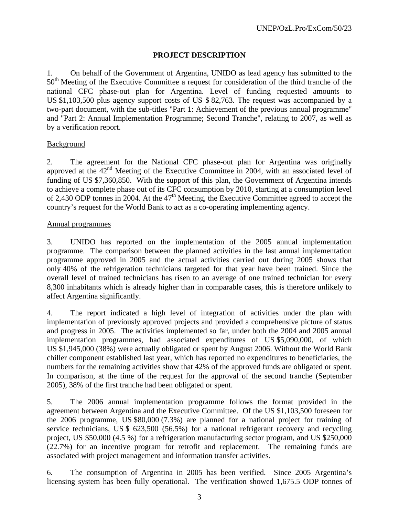# **PROJECT DESCRIPTION**

1. On behalf of the Government of Argentina, UNIDO as lead agency has submitted to the 50<sup>th</sup> Meeting of the Executive Committee a request for consideration of the third tranche of the national CFC phase-out plan for Argentina. Level of funding requested amounts to US \$1,103,500 plus agency support costs of US \$ 82,763. The request was accompanied by a two-part document, with the sub-titles "Part 1: Achievement of the previous annual programme" and "Part 2: Annual Implementation Programme; Second Tranche", relating to 2007, as well as by a verification report.

# Background

2. The agreement for the National CFC phase-out plan for Argentina was originally approved at the 42<sup>nd</sup> Meeting of the Executive Committee in 2004, with an associated level of funding of US \$7,360,850. With the support of this plan, the Government of Argentina intends to achieve a complete phase out of its CFC consumption by 2010, starting at a consumption level of 2,430 ODP tonnes in 2004. At the  $47<sup>th</sup>$  Meeting, the Executive Committee agreed to accept the country's request for the World Bank to act as a co-operating implementing agency.

# Annual programmes

3. UNIDO has reported on the implementation of the 2005 annual implementation programme. The comparison between the planned activities in the last annual implementation programme approved in 2005 and the actual activities carried out during 2005 shows that only 40% of the refrigeration technicians targeted for that year have been trained. Since the overall level of trained technicians has risen to an average of one trained technician for every 8,300 inhabitants which is already higher than in comparable cases, this is therefore unlikely to affect Argentina significantly.

4. The report indicated a high level of integration of activities under the plan with implementation of previously approved projects and provided a comprehensive picture of status and progress in 2005. The activities implemented so far, under both the 2004 and 2005 annual implementation programmes, had associated expenditures of US \$5,090,000, of which US \$1,945,000 (38%) were actually obligated or spent by August 2006. Without the World Bank chiller component established last year, which has reported no expenditures to beneficiaries, the numbers for the remaining activities show that 42% of the approved funds are obligated or spent. In comparison, at the time of the request for the approval of the second tranche (September 2005), 38% of the first tranche had been obligated or spent.

5. The 2006 annual implementation programme follows the format provided in the agreement between Argentina and the Executive Committee. Of the US \$1,103,500 foreseen for the 2006 programme, US \$80,000 (7.3%) are planned for a national project for training of service technicians, US \$ 623,500 (56.5%) for a national refrigerant recovery and recycling project, US \$50,000 (4.5 %) for a refrigeration manufacturing sector program, and US \$250,000 (22.7%) for an incentive program for retrofit and replacement. The remaining funds are associated with project management and information transfer activities.

6. The consumption of Argentina in 2005 has been verified. Since 2005 Argentina's licensing system has been fully operational. The verification showed 1,675.5 ODP tonnes of